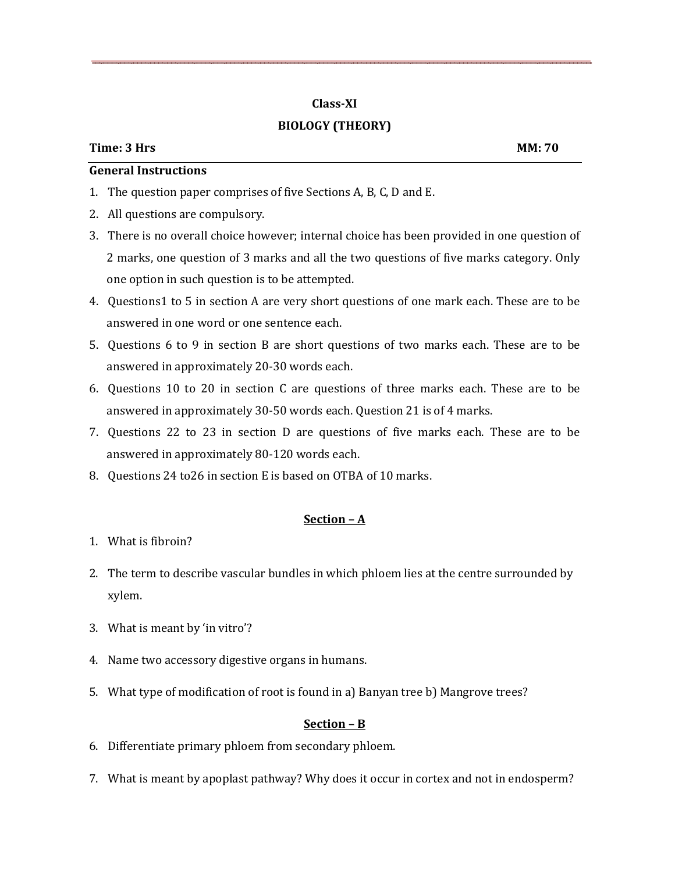# **Class-XI BIOLOGY (THEORY)**

## **Time: 3 Hrs MM: 70**

## **General Instructions**

- 1. The question paper comprises of five Sections A, B, C, D and E.
- 2. All questions are compulsory.
- 3. There is no overall choice however; internal choice has been provided in one question of 2 marks, one question of 3 marks and all the two questions of five marks category. Only one option in such question is to be attempted.
- 4. Questions1 to 5 in section A are very short questions of one mark each. These are to be answered in one word or one sentence each.
- 5. Questions 6 to 9 in section B are short questions of two marks each. These are to be answered in approximately 20-30 words each.
- 6. Questions 10 to 20 in section C are questions of three marks each. These are to be answered in approximately 30-50 words each. Question 21 is of 4 marks.
- 7. Questions 22 to 23 in section D are questions of five marks each. These are to be answered in approximately 80-120 words each.
- 8. Questions 24 to26 in section E is based on OTBA of 10 marks.

## **Section – A**

- 1. What is fibroin?
- 2. The term to describe vascular bundles in which phloem lies at the centre surrounded by xylem.
- 3. What is meant by 'in vitro'?
- 4. Name two accessory digestive organs in humans.
- 5. What type of modification of root is found in a) Banyan tree b) Mangrove trees?

## **Section – B**

- 6. Differentiate primary phloem from secondary phloem.
- 7. What is meant by apoplast pathway? Why does it occur in cortex and not in endosperm?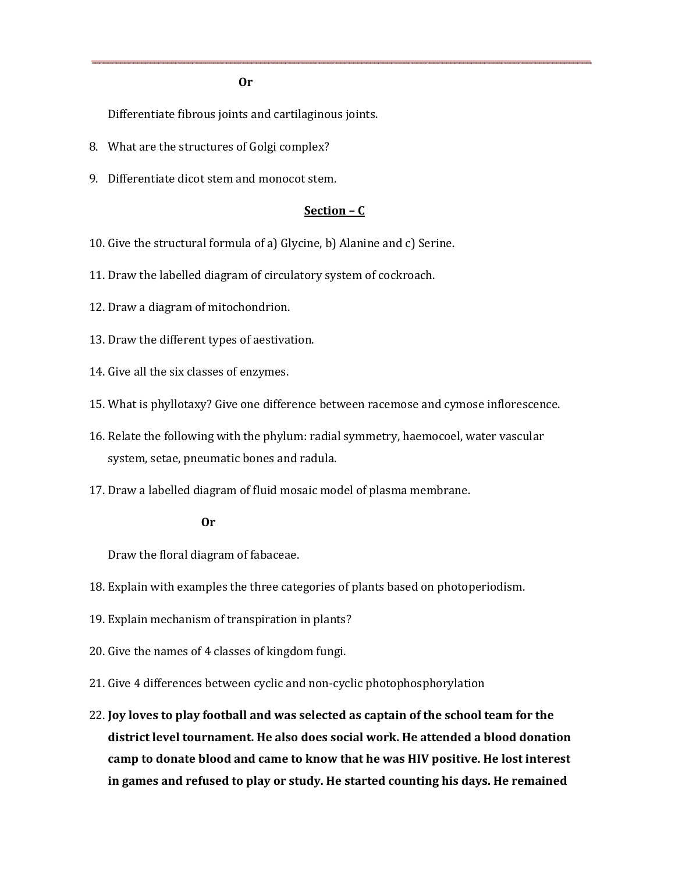**Or** 

Differentiate fibrous joints and cartilaginous joints.

- 8. What are the structures of Golgi complex?
- 9. Differentiate dicot stem and monocot stem.

### **Section – C**

- 10. Give the structural formula of a) Glycine, b) Alanine and c) Serine.
- 11. Draw the labelled diagram of circulatory system of cockroach.
- 12. Draw a diagram of mitochondrion.
- 13. Draw the different types of aestivation.
- 14. Give all the six classes of enzymes.
- 15. What is phyllotaxy? Give one difference between racemose and cymose inflorescence.
- 16. Relate the following with the phylum: radial symmetry, haemocoel, water vascular system, setae, pneumatic bones and radula.
- 17. Draw a labelled diagram of fluid mosaic model of plasma membrane.

#### **Or**

Draw the floral diagram of fabaceae.

- 18. Explain with examples the three categories of plants based on photoperiodism.
- 19. Explain mechanism of transpiration in plants?
- 20. Give the names of 4 classes of kingdom fungi.
- 21. Give 4 differences between cyclic and non-cyclic photophosphorylation
- 22. **Joy loves to play football and was selected as captain of the school team for the district level tournament. He also does social work. He attended a blood donation camp to donate blood and came to know that he was HIV positive. He lost interest in games and refused to play or study. He started counting his days. He remained**